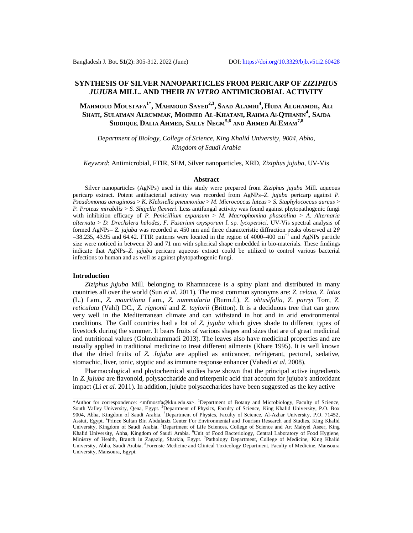# **SYNTHESIS OF SILVER NANOPARTICLES FROM PERICARP OF** *ZIZIPHUS JUJUBA* **MILL. AND THEIR** *IN VITRO* **ANTIMICROBIAL ACTIVITY**

Mahmoud Moustafa<sup>1\*</sup>, Mahmoud Sayed<sup>2,3</sup>, Saad Alamri<sup>4</sup>, Huda Alghamdii, Ali **SHATI, SULAIMAN ALRUMMAN, MOHMED AL-KHATANI, RAHMA Al-QTHANIN<sup>4</sup> , SAJDA SIDDIQUE, DALIA AHMED, SALLY NEGM5,6 AND AHMED Al-EMAM7,8**

*Department of Biology, College of Science, King Khalid University, 9004, Abha, Kingdom of Saudi Arabia*

*Keyword*: Antimicrobial, FTIR, SEM, Silver nanoparticles, XRD, *Ziziphus jujuba*, UV-Vis

#### **Abstract**

Silver nanoparticles (AgNPs) used in this study were prepared from *Ziziphus jujuba* Mill. aqueous pericarp extract. Potent antibacterial activity was recorded from AgNPs–*Z. jujuba* pericarp against *P. Pseudomonas aeruginosa* > *K. Klebsiella pneumoniae* > *M. Micrococcus luteus* > *S. Staphylococcus aureus* > *P. Proteus mirabilis* > *S. Shigella flexneri*. Less antifungal activity was found against phytopathogenic fungi with inhibition efficacy of *P. Penicillium expansum* > *M. Macrophomina phaseolina* > *A. Alternaria alternata* > *D. Drechslera halodes*, *F. Fusarium oxysporum* f. sp. *lycopersici.* UV-Vis spectral analysis of formed AgNPs– *Z. jujuba* was recorded at 450 nm and three characteristic diffraction peaks observed at  $2\theta$  $=38.235$ , 43.95 and 64.42. FTIR patterns were located in the region of 4000–400 cm<sup>-1</sup> and AgNPs particle size were noticed in between 20 and 71 nm with spherical shape embedded in bio-materials. These findings indicate that AgNPs–*Z. jujuba* pericarp aqueous extract could be utilized to control various bacterial infections to human and as well as against phytopathogenic fungi.

## **Introduction**

*Ziziphus jujuba* Mill. belonging to Rhamnaceae is a spiny plant and distributed in many countries all over the world (Sun *et al.* 2011). The most common synonyms are: *Z. celata*, *Z. lotus* (L.) Lam., *Z. mauritiana* Lam., *Z. nummularia* (Burm.f.), *Z. obtusifolia*, *Z. parryi* Torr, *Z. reticulata* (Vahl) DC., *Z. rignonii* and *Z. taylorii* (Britton). It is a deciduous tree that can grow very well in the Mediterranean climate and can withstand in hot and in arid environmental conditions. The Gulf countries had a lot of *Z. jujuba* which gives shade to different types of livestock during the summer. It bears fruits of various shapes and sizes that are of great medicinal and nutritional values (Golmohammadi 2013). The leaves also have medicinal properties and are usually applied in traditional medicine to treat different ailments (Khare 1995). It is well known that the dried fruits of *Z. Jujuba* are applied as anticancer, refrigerant, pectoral, sedative, stomachic, liver, tonic, styptic and as immune response enhancer (Vahedi *et al.* 2008).

Pharmacological and phytochemical studies have shown that the principal active ingredients in *Z. jujuba* are flavonoid, polysaccharide and triterpenic acid that account for jujuba's antioxidant impact (Li *et al.* 2011). In addition, jujube polysaccharides have been suggested as the key active

<sup>\*</sup>Author for correspondence: <[mfmostfa@kku.edu.sa>](mailto:mfmostfa@kku.edu.sa). <sup>1</sup>Department of Botany and Microbiology, Faculty of Science, South Valley University, Qena, Egypt. <sup>2</sup>Department of Physics, Faculty of Science, King Khalid University, P.O. Box 9004, Abha, Kingdom of Saudi Arabia. <sup>3</sup>Department of Physics, Faculty of Science, Al-Azhar University, P.O. 71452, Assiut, Egypt. <sup>4</sup> Prince Sultan Bin Abdulaziz Center For Environmental and Tourism Research and Studies, King Khalid University, Kingdom of Saudi Arabia. <sup>5</sup>Department of Life Sciences, College of Science and Art Mahyel Aseer, King Khalid University, Abha, Kingdom of Saudi Arabia. <sup>6</sup>Unit of Food Bacteriology, Central Laboratory of Food Hygiene, Ministry of Health, Branch in Zagazig, Sharkia, Egypt. <sup>7</sup> Pathology Department, College of Medicine, King Khalid University, Abha, Saudi Arabia. <sup>8</sup>Forensic Medicine and Clinical Toxicology Department, Faculty of Medicine, Mansoura University, Mansoura, Egypt.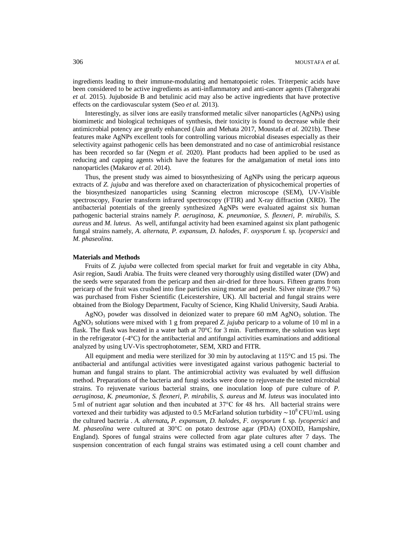ingredients leading to their immune-modulating and hematopoietic roles. Triterpenic acids have been considered to be active ingredients as anti-inflammatory and anti-cancer agents (Tahergorabi *et al.* 2015). Jujuboside B and betulinic acid may also be active ingredients that have protective effects on the cardiovascular system (Seo *et al.* 2013).

Interestingly, as silver ions are easily transformed metalic silver nanoparticles (AgNPs) using biomimetic and biological techniques of synthesis, their toxicity is found to decrease while their antimicrobial potency are greatly enhanced (Jain and Mehata 2017, Moustafa *et al.* 2021b). These features make AgNPs excellent tools for controlling various microbial diseases especially as their selectivity against pathogenic cells has been demonstrated and no case of antimicrobial resistance has been recorded so far (Negm *et al.* 2020). Plant products had been applied to be used as reducing and capping agents which have the features for the amalgamation of metal ions into nanoparticles (Makarov *et al.* 2014).

Thus, the present study was aimed to biosynthesizing of AgNPs using the pericarp aqueous extracts of *Z. jujuba* and was therefore axed on characterization of physicochemical properties of the biosynthesized nanoparticles using Scanning electron microscope (SEM), UV-Visible spectroscopy, Fourier transform infrared spectroscopy (FTIR) and X-ray diffraction (XRD). The antibacterial potentials of the greenly synthesized AgNPs were evaluated against six human pathogenic bacterial strains namely *P. aeruginosa, K. pneumoniae*, *S. flexneri, P. mirabilis, S. aureus* and *M. luteus*. As well, antifungal activity had been examined against six plant pathogenic fungal strains namely, *A. alternata*, *P. expansum*, *D. halodes*, *F. oxysporum* f. sp. *lycopersici* and *M. phaseolina*.

#### **Materials and Methods**

Fruits of *Z. jujuba* were collected from special market for fruit and vegetable in city Abha, Asir region, Saudi Arabia. The fruits were cleaned very thoroughly using distilled water (DW) and the seeds were separated from the pericarp and then air-dried for three hours. Fifteen grams from pericarp of the fruit was crushed into fine particles using mortar and pestle. Silver nitrate (99.7 %) was purchased from Fisher Scientific (Leicestershire, UK). All bacterial and fungal strains were obtained from the Biology Department, Faculty of Science, King Khalid University, Saudi Arabia.

 $AgNO<sub>3</sub>$  powder was dissolved in deionized water to prepare 60 mM  $AgNO<sub>3</sub>$  solution. The AgNO<sup>3</sup> solutions were mixed with 1 g from prepared *Z. jujuba* pericarp to a volume of 10 ml in a flask. The flask was heated in a water bath at  $70^{\circ}$ C for 3 min. Furthermore, the solution was kept in the refrigerator  $(-4^{\circ}C)$  for the antibacterial and antifungal activities examinations and additional analyzed by using UV-Vis spectrophotometer, SEM, XRD and FITR.

All equipment and media were sterilized for 30 min by autoclaving at  $115^{\circ}$ C and 15 psi. The antibacterial and antifungal activities were investigated against various pathogenic bacterial to human and fungal strains to plant. The antimicrobial activity was evaluated by well diffusion method. Preparations of the bacteria and fungi stocks were done to rejuvenate the tested microbial strains. To rejuvenate various bacterial strains, one inoculation loop of pure culture of *P. aeruginosa*, *K. pneumoniae*, *S. flexneri*, *P. mirabilis*, *S. aureus* and *M. luteus* was inoculated into 5 ml of nutrient agar solution and then incubated at 37°C for 48 hrs. All bacterial strains were vortexed and their turbidity was adjusted to 0.5 McFarland solution turbidity ~10<sup>8</sup> CFU/mL using the cultured bacteria . *A. alternata***,** *P. expansum, D. halodes, F. oxysporum* f. sp. *lycopersici* and *M. phaseolina* were cultured at 30°C on potato dextrose agar (PDA) (OXOID, Hampshire, England). Spores of fungal strains were collected from agar plate cultures after 7 days. The suspension concentration of each fungal strains was estimated using a cell count chamber and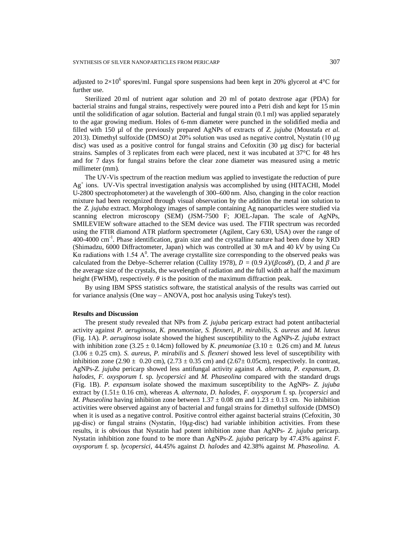adjusted to  $2\times10^6$  spores/ml. Fungal spore suspensions had been kept in 20% glycerol at 4°C for further use.

Sterilized 20 ml of nutrient agar solution and 20 ml of potato dextrose agar (PDA) for bacterial strains and fungal strains, respectively were poured into a Petri dish and kept for 15 min until the solidification of agar solution. Bacterial and fungal strain (0.1 ml) was applied separately to the agar growing medium. Holes of 6-mm diameter were punched in the solidified media and filled with 150 µl of the previously prepared AgNPs of extracts of *Z. jujuba* (Moustafa *et al.* 2013). Dimethyl sulfoxide (DMSO*)* at 20% solution was used as negative control, Nystatin (10 μg disc) was used as a positive control for fungal strains and Cefoxitin (30 µg disc) for bacterial strains. Samples of 3 replicates from each were placed, next it was incubated at 37°C for 48 hrs and for 7 days for fungal strains before the clear zone diameter was measured using a metric millimeter (mm)*.* 

The UV-Vis spectrum of the reaction medium was applied to investigate the reduction of pure Ag<sup>+</sup> ions. UV-Vis spectral investigation analysis was accomplished by using (HITACHI, Model U-2800 spectrophotometer) at the wavelength of 300–600 nm. Also, changing in the color reaction mixture had been recognized through visual observation by the addition the metal ion solution to the *Z. jujuba* extract. Morphology images of sample containing Ag nanoparticles were studied via scanning electron microscopy (SEM) (JSM-7500 F; JOEL-Japan. The scale of AgNPs, SMILEVIEW software attached to the SEM device was used. The FTIR spectrum was recorded using the FTIR diamond ATR platform spectrometer (Agilent, Cary 630, USA) over the range of 400-4000 cm<sup>-1</sup>. Phase identification, grain size and the crystalline nature had been done by XRD (Shimadzu, 6000 Diffractometer, Japan) which was controlled at 30 mA and 40 kV by using Cu Kα radiations with 1.54  $A^0$ . The average crystallite size corresponding to the observed peaks was calculated from the Debye–Scherrer relation (Cullity 1978),  $\vec{D} = (0.9 \lambda)/(\beta \cos \theta)$ , (D,  $\lambda$  and  $\beta$  are the average size of the crystals, the wavelength of radiation and the full width at half the maximum height (FWHM), respectively.  $\theta$  is the position of the maximum diffraction peak.

By using IBM SPSS statistics software, the statistical analysis of the results was carried out for variance analysis (One way – ANOVA, post hoc analysis using Tukey's test).

### **Results and Discussion**

The present study revealed that NPs from *Z. jujuba* pericarp extract had potent antibacterial activity against *P. aeruginosa*, *K. pneumoniae*, *S. flexneri*, *P. mirabilis*, *S. aureus* and *M. luteus* (Fig. 1A)*. P. aeruginosa* isolate showed the highest susceptibility to the AgNPs-*Z. jujuba* extract with inhibition zone  $(3.25 \pm 0.14 \text{cm})$  followed by *K. pneumoniae*  $(3.10 \pm 0.26 \text{cm})$  and *M. luteus* (3.06 ± 0.25 cm). *S. aureus*, *P. mirabilis* and *S. flexneri* showed less level of susceptibility with inhibition zone (2.90  $\pm$  0.20 cm), (2.73  $\pm$  0.35 cm) and (2.67 $\pm$  0.05cm), respectively. In contrast, AgNPs-*Z. jujuba* pericarp showed less antifungal activity against *A. alternata*, *P. expansum*, *D. halodes*, *F. oxysporum* f. sp. *lycopersici* and *M. Phaseolina* compared with the standard drugs (Fig. 1B). *P. expansum* isolate showed the maximum susceptibility to the AgNPs- *Z. jujuba* extract by (1.51± 0.16 cm), whereas *A. alternata*, *D. halodes*, *F. oxysporum* f. sp. *lycopersici* and *M. Phaseolina* having inhibition zone between  $1.37 \pm 0.08$  cm and  $1.23 \pm 0.13$  cm. No inhibition activities were observed against any of bacterial and fungal strains for dimethyl sulfoxide (DMSO) when it is used as a negative control. Positive control either against bacterial strains (Cefoxitin, 30 µg-disc) or fungal strains (Nystatin, 10μg-disc) had variable inhibition activities. From these results, it is obvious that Nystatin had potent inhibition zone than AgNPs- *Z. jujuba* pericarp. Nystatin inhibition zone found to be more than AgNPs-*Z. jujuba* pericarp by 47.43% against *F. oxysporum* f. sp. *lycopersici*, 44.45% against *D. halodes* and 42.38% against *M. Phaseolina*. *A.*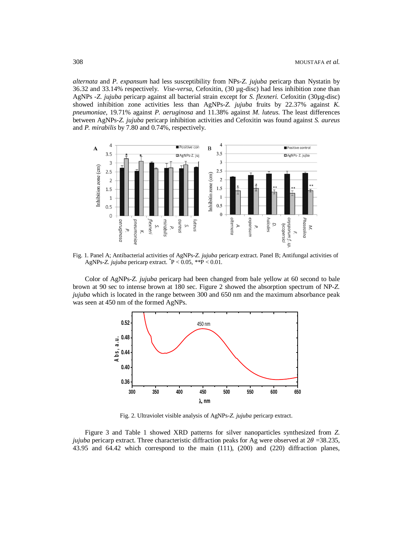*alternata* and *P. expansum* had less susceptibility from NPs-*Z. jujuba* pericarp than Nystatin by 36.32 and 33.14% respectively. *Vise-versa*, Cefoxitin, (30 µg-disc) had less inhibition zone than AgNPs -*Z. jujuba* pericarp against all bacterial strain except for *S. flexneri.* Cefoxitin (30µg-disc) showed inhibition zone activities less than AgNPs-*Z. jujuba* fruits by 22.37% against *K. pneumoniae*, 19.71% against *P. aeruginosa* and 11.38% against *M. luteus*. The least differences between AgNPs-*Z. jujuba* pericarp inhibition activities and Cefoxitin was found against *S. aureus* and *P. mirabilis* by 7.80 and 0.74%, respectively.



Fig. 1. Panel A; Antibacterial activities of AgNPs-*Z. jujuba* pericarp extract. Panel B; Antifungal activities of AgNPs-*Z. jujuba* pericarp extract. *\** P < 0.05, *\*\**P < 0.01.

Color of AgNPs-*Z. jujuba* pericarp had been changed from bale yellow at 60 second to bale brown at 90 sec to intense brown at 180 sec. Figure 2 showed the absorption spectrum of NP-*Z. jujuba* which is located in the range between 300 and 650 nm and the maximum absorbance peak was seen at 450 nm of the formed AgNPs.



Fig. 2. Ultraviolet visible analysis of AgNPs-*Z. jujuba* pericarp extract.

Figure 3 and Table 1 showed XRD patterns for silver nanoparticles synthesized from *Z. jujuba* pericarp extract. Three characteristic diffraction peaks for Ag were observed at  $2\theta = 38.235$ , 43.95 and 64.42 which correspond to the main (111), (200) and (220) diffraction planes,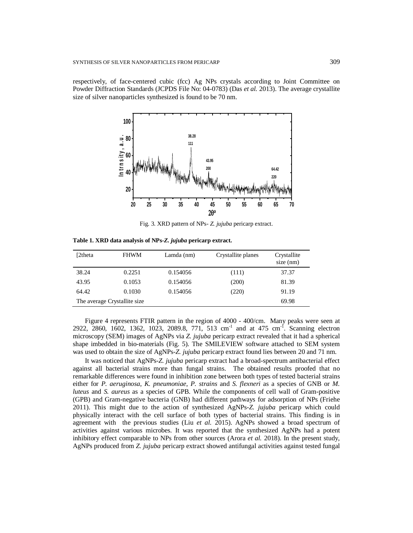respectively, of face-centered cubic (fcc) Ag NPs crystals according to Joint Committee on Powder Diffraction Standards (JCPDS File No: 04-0783) (Das *et al.* 2013). The average crystallite size of silver nanoparticles synthesized is found to be 70 nm.



Fig. 3. XRD pattern of NPs- *Z. jujuba* pericarp extract.

**Table 1. XRD data analysis of NPs-***Z. jujuba* **pericarp extract.**

| [2theta                       | <b>FHWM</b> | Lamda (nm) | Crystallite planes | Crystallite<br>$size$ (nm) |
|-------------------------------|-------------|------------|--------------------|----------------------------|
| 38.24                         | 0.2251      | 0.154056   | (111)              | 37.37                      |
| 43.95                         | 0.1053      | 0.154056   | (200)              | 81.39                      |
| 64.42                         | 0.1030      | 0.154056   | (220)              | 91.19                      |
| The average Crystallite size. |             |            |                    | 69.98                      |

Figure 4 represents FTIR pattern in the region of 4000 - 400/cm. Many peaks were seen at 2922, 2860, 1602, 1362, 1023, 2089.8, 771, 513 cm<sup>-1</sup> and at 475 cm<sup>-1</sup>. Scanning electron microscopy (SEM) images of AgNPs via *Z. jujuba* pericarp extract revealed that it had a spherical shape imbedded in bio-materials (Fig. 5). The SMILEVIEW software attached to SEM system was used to obtain the size of AgNPs-*Z. jujuba* pericarp extract found lies between 20 and 71 nm.

It was noticed that AgNPs-*Z. jujuba* pericarp extract had a broad-spectrum antibacterial effect against all bacterial strains more than fungal strains. The obtained results proofed that no remarkable differences were found in inhibition zone between both types of tested bacterial strains either for *P. aeruginosa*, *K. pneumoniae*, *P. strains* and *S. flexneri* as a species of GNB or *M. luteus* and *S. aureus* as a species of GPB. While the components of cell wall of Gram-positive (GPB) and Gram-negative bacteria (GNB) had different pathways for adsorption of NPs (Friehe 2011). This might due to the action of synthesized AgNPs-*Z. jujuba* pericarp which could physically interact with the cell surface of both types of bacterial strains. This finding is in agreement with the previous studies (Liu *et al.* 2015). AgNPs showed a broad spectrum of activities against various microbes. It was reported that the synthesized AgNPs had a potent inhibitory effect comparable to NPs from other sources (Arora *et al.* 2018). In the present study, AgNPs produced from *Z. jujuba* pericarp extract showed antifungal activities against tested fungal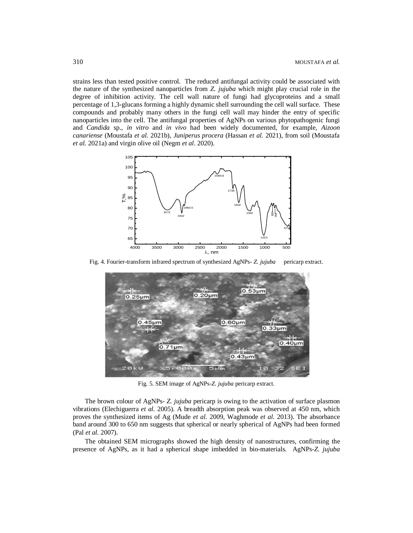strains less than tested positive control. The reduced antifungal activity could be associated with the nature of the synthesized nanoparticles from *Z. jujuba* which might play crucial role in the degree of inhibition activity. The cell wall nature of fungi had glycoproteins and a small percentage of 1,3-glucans forming a highly dynamic shell surrounding the cell wall surface. These compounds and probably many others in the fungi cell wall may hinder the entry of specific nanoparticles into the cell. The antifungal properties of AgNPs on various phytopathogenic fungi and *Candida* sp., *in vitro* and *in vivo* had been widely documented, for example, *Aizoon canariense* (Moustafa *et al.* 2021b), *Juniperus procera* (Hassan *et al.* 2021), from soil (Moustafa *et al.* 2021a) and virgin olive oil (Negm *et al*. 2020).



Fig. 4. Fourier-transform infrared spectrum of synthesized AgNPs- *Z. jujuba* pericarp extract.



Fig. 5. SEM image of AgNPs-*Z. jujuba* pericarp extract.

The brown colour of AgNPs- *Z. jujuba* pericarp is owing to the activation of surface plasmon vibrations (Elechiguerra *et al.* 2005). A breadth absorption peak was observed at 450 nm, which proves the synthesized items of Ag (Mude *et al.* 2009, Waghmode *et al.* 2013). The absorbance band around 300 to 650 nm suggests that spherical or nearly spherical of AgNPs had been formed (Pal *et al.* 2007).

The obtained SEM micrographs showed the high density of nanostructures, confirming the presence of AgNPs, as it had a spherical shape imbedded in bio-materials. AgNPs-*Z. jujuba*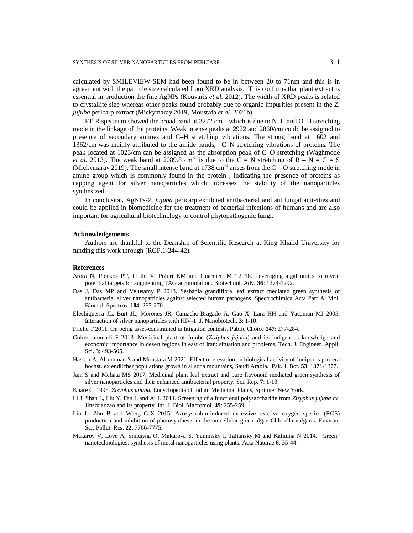calculated by SMILEVIEW-SEM had been found to be in between 20 to 71nm and this is in agreement with the particle size calculated from XRD analysis. This confirms that plant extract is essential in production the fine AgNPs (Kouvaris *et al.* 2012). The width of XRD peaks is related to crystallite size whereas other peaks found probably due to organic impurities present in the *Z. jujuba* pericarp extract (Mickymaray 2019, Moustafa *et al.* 2021b).

FTIR spectrum showed the broad band at 3272  $cm^{-1}$  which is due to N–H and O–H stretching mode in the linkage of the proteins. Weak intense peaks at 2922 and 2860/cm could be assigned to presence of secondary amines and C–H stretching vibrations. The strong band at 1602 and 1362/cm was mainly attributed to the amide bands, –C–N stretching vibrations of proteins. The peak located at 1023/cm can be assigned as the absorption peak of C–O stretching (Waghmode *et al.* 2013). The weak band at 2089.8 cm<sup>-1</sup> is due to the  $\overline{C} = N$  stretching of  $R - N = C = S$ (Mickymaray 2019). The small intense band at 1738 cm<sup>-1</sup> arises from the  $C = O$  stretching mode in amine group which is commonly found in the protein , indicating the presence of proteins as capping agent for silver nanoparticles which increases the stability of the nanoparticles synthesized.

In conclusion, AgNPs-*Z. jujuba* pericarp exhibited antibacterial and antifungal activities and could be applied in biomedicine for the treatment of bacterial infections of humans and are also important for agricultural biotechnology to control phytopathogenic fungi.

## **Acknowledgements**

Authors are thankful to the Deanship of Scientific Research at King Khalid University for funding this work through (RGP.1-244-42).

#### **References**

- Arora N, Pienkos PT, Pruthi V, Poluri KM and Guarnieri MT 2018. Leveraging algal omics to reveal potential targets for augmenting TAG accumulation. Biotechnol. Adv. **36**: 1274-1292.
- Das J, Das MP and Velusamy P 2013. Sesbania grandiflora leaf extract mediated green synthesis of antibacterial silver nanoparticles against selected human pathogens. Spectrochimica Acta Part A: Mol. Biomol. Spectros. 1**04**: 265-270.
- Elechiguerra JL, Burt JL, Morones JR, Camacho-Bragado A, Gao X, Lara HH and Yacaman MJ 2005. Interaction of silver nanoparticles with HIV-1. J. Nanobiotech. **3**: 1-10.
- Friehe T 2011. On being asset-constrained in litigation contests. Public Choice **147**: 277-284.
- Golmohammadi F 2013. Medicinal plant of Jujube (*Ziziphus jujuba*) and its indigenous knowledge and economic importance in desert regions in east of Iran: situation and problems. Tech. J. Engineer. Appli. Sci. **3**: 493-505.
- Hassan A, Alrumman S and Moustafa M 2021. Effect of elevation on biological activity of Juniperus procera hochst. ex endlicher populations grown in al soda mountains, Saudi Arabia. Pak. J. Bot. **53**: 1371-1377.
- Jain S and Mehata MS 2017. Medicinal plant leaf extract and pure flavonoid mediated green synthesis of silver nanoparticles and their enhanced antibacterial property. Sci. Rep. **7**: 1-13.
- Khare C, 1995, *Zizyphus jujuba*, Encyclopedia of Indian Medicinal Plants, Springer New York.
- Li J, Shan L, Liu Y, Fan L and Ai L 2011. Screening of a functional polysaccharide from *Zizyphus jujuba* cv. Jinsixiaozao and its property. Int. J. Biol. Macromol. **49**: 255-259.
- Liu L, Zhu B and Wang G-X 2015. Azoxystrobin-induced excessive reactive oxygen species (ROS) production and inhibition of photosynthesis in the unicellular green algae Chlorella vulgaris. Environ. Sci. Pollut. Res. **22**: 7766-7775.
- Makarov V, Love A, Sinitsyna O, Makarova S, Yaminsky I, Taliansky M and Kalinina N 2014. "Green" nanotechnologies: synthesis of metal nanoparticles using plants. Acta Naturae **6**: 35-44.